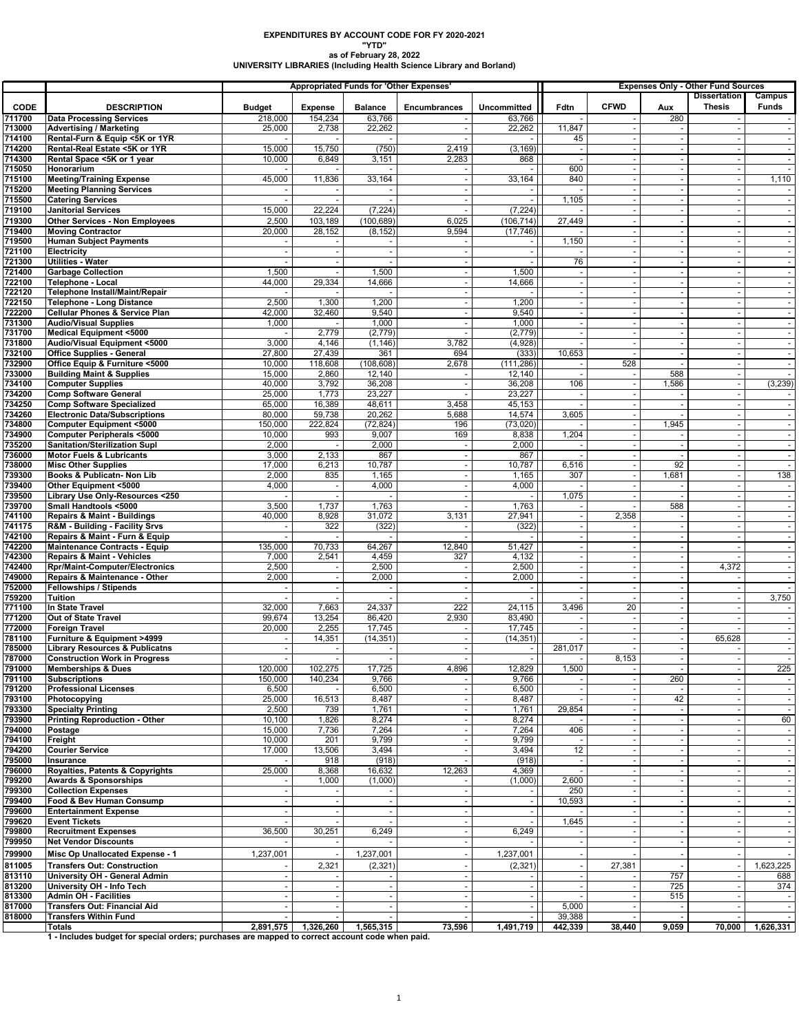## **EXPENDITURES BY ACCOUNT CODE FOR FY 2020-2021 "YTD"**

**as of February 28, 2022 UNIVERSITY LIBRARIES (Including Health Science Library and Borland)**

|                  |                                                                                                 | <b>Appropriated Funds for 'Other Expenses'</b> |                    |                          |                     |                  | <b>Expenses Only - Other Fund Sources</b><br><b>Dissertation</b><br>Campus |             |                          |               |                          |  |
|------------------|-------------------------------------------------------------------------------------------------|------------------------------------------------|--------------------|--------------------------|---------------------|------------------|----------------------------------------------------------------------------|-------------|--------------------------|---------------|--------------------------|--|
| <b>CODE</b>      | <b>DESCRIPTION</b>                                                                              | <b>Budget</b>                                  | <b>Expense</b>     | <b>Balance</b>           | <b>Encumbrances</b> | Uncommitted      | Fdtn                                                                       | <b>CFWD</b> | Aux                      | <b>Thesis</b> | Funds                    |  |
| 711700           | <b>Data Processing Services</b>                                                                 | 218,000                                        | 154,234            | 63,766                   |                     | 63,766           |                                                                            |             | 280                      |               |                          |  |
| 713000           | <b>Advertising / Marketing</b>                                                                  | 25,000                                         | 2,738              | 22,262                   |                     | 22,262           | 11,847                                                                     |             |                          |               |                          |  |
| 714100           | Rental-Furn & Equip <5K or 1YR                                                                  |                                                | 15,750             |                          | 2,419               | (3, 169)         | 45                                                                         |             | $\overline{\phantom{a}}$ |               |                          |  |
| 714200<br>714300 | Rental-Real Estate <5K or 1YR<br>Rental Space <5K or 1 year                                     | 15,000<br>10,000                               | 6,849              | (750)<br>3,151           | 2,283               | 868              | $\overline{\phantom{a}}$                                                   |             |                          |               | $\sim$                   |  |
| 715050           | Honorarium                                                                                      |                                                |                    |                          |                     |                  | 600                                                                        |             | $\sim$                   |               |                          |  |
| 715100           | <b>Meeting/Training Expense</b>                                                                 | 45,000                                         | 11,836             | 33,164                   |                     | 33,164           | 840                                                                        |             |                          |               | 1,110                    |  |
| 715200           | <b>Meeting Planning Services</b>                                                                |                                                |                    |                          |                     |                  |                                                                            |             |                          |               |                          |  |
| 715500<br>719100 | <b>Catering Services</b><br><b>Janitorial Services</b>                                          | 15,000                                         | 22,224             | (7, 224)                 |                     | (7, 224)         | 1,105                                                                      |             |                          |               | $\sim$                   |  |
| 719300           | Other Services - Non Employees                                                                  | 2,500                                          | 103,189            | (100, 689)               | 6,025               | (106, 714)       | 27,449                                                                     |             |                          |               |                          |  |
| 719400           | <b>Moving Contractor</b>                                                                        | 20,000                                         | 28,152             | (8, 152)                 | 9,594               | (17, 746)        |                                                                            |             | $\sim$                   |               |                          |  |
| 719500           | <b>Human Subject Payments</b>                                                                   |                                                |                    | $\overline{\phantom{a}}$ |                     |                  | 1,150                                                                      |             |                          |               | $\blacksquare$           |  |
| 721100           | <b>Electricity</b>                                                                              |                                                |                    |                          |                     |                  |                                                                            |             |                          |               |                          |  |
| 721300           | Utilities - Water                                                                               |                                                |                    |                          |                     |                  | 76                                                                         |             |                          |               | $\sim$                   |  |
| 721400<br>722100 | <b>Garbage Collection</b><br>Telephone - Local                                                  | 1,500<br>44.000                                | 29,334             | 1,500<br>14,666          | ٠.                  | 1,500<br>14,666  | $\sim$                                                                     |             | $\sim$                   |               | $\sim$                   |  |
| 722120           | Telephone Install/Maint/Repair                                                                  |                                                |                    |                          |                     |                  |                                                                            |             |                          |               |                          |  |
| 722150           | <b>Telephone - Long Distance</b>                                                                | 2,500                                          | 1,300              | 1,200                    |                     | 1,200            |                                                                            |             |                          |               |                          |  |
| 722200           | <b>Cellular Phones &amp; Service Plan</b>                                                       | 42,000                                         | 32,460             | 9,540                    |                     | 9,540            | $\overline{\phantom{a}}$                                                   |             |                          |               | $\sim$                   |  |
| 731300           | <b>Audio/Visual Supplies</b>                                                                    | 1,000                                          | 2,779              | 1,000                    |                     | 1,000<br>(2,779) | $\sim$                                                                     |             |                          |               |                          |  |
| 731700<br>731800 | <b>Medical Equipment &lt;5000</b><br>Audio/Visual Equipment <5000                               | 3,000                                          | 4,146              | (2, 779)<br>(1, 146)     | 3,782               | (4,928)          | $\overline{\phantom{a}}$                                                   |             |                          |               | $\blacksquare$           |  |
| 732100           | <b>Office Supplies - General</b>                                                                | 27,800                                         | 27,439             | 361                      | 694                 | (333)            | 10,653                                                                     |             |                          |               |                          |  |
| 732900           | Office Equip & Furniture <5000                                                                  | 10,000                                         | 118,608            | (108, 608)               | 2,678               | (111, 286)       |                                                                            | 528         |                          |               | $\sim$                   |  |
| 733000           | <b>Building Maint &amp; Supplies</b>                                                            | 15,000                                         | 2,860              | 12,140                   |                     | 12,140           |                                                                            |             | 588                      |               | $\sim$                   |  |
| 734100           | <b>Computer Supplies</b>                                                                        | 40,000                                         | 3,792              | 36,208                   |                     | 36,208           | 106                                                                        |             | 1,586                    |               | (3, 239)                 |  |
| 734200<br>734250 | <b>Comp Software General</b><br><b>Comp Software Specialized</b>                                | 25,000<br>65,000                               | 1,773<br>16,389    | 23,227<br>48,611         | 3,458               | 23,227<br>45,153 |                                                                            |             |                          |               |                          |  |
| 734260           | <b>Electronic Data/Subscriptions</b>                                                            | 80,000                                         | 59,738             | 20,262                   | 5,688               | 14,574           | 3,605                                                                      |             |                          |               | $\sim$                   |  |
| 734800           | <b>Computer Equipment &lt;5000</b>                                                              | 150,000                                        | 222,824            | (72, 824)                | 196                 | (73, 020)        |                                                                            |             | 1,945                    |               |                          |  |
| 734900           | Computer Peripherals <5000                                                                      | 10,000                                         | 993                | 9,007                    | 169                 | 8,838            | 1,204                                                                      |             |                          |               |                          |  |
| 735200<br>736000 | Sanitation/Sterilization Supl<br><b>Motor Fuels &amp; Lubricants</b>                            | 2,000<br>3,000                                 | 2,133              | 2,000<br>867             |                     | 2,000<br>867     |                                                                            |             |                          |               | $\blacksquare$           |  |
| 738000           | <b>Misc Other Supplies</b>                                                                      | 17,000                                         | 6,213              | 10,787                   |                     | 10,787           | 6,516                                                                      |             | 92                       |               | $\sim$                   |  |
| 739300           | Books & Publicatn- Non Lib                                                                      | 2,000                                          | 835                | 1,165                    |                     | 1,165            | 307                                                                        |             | 1,681                    |               | 138                      |  |
| 739400           | Other Equipment <5000                                                                           | 4,000                                          | $\sim$             | 4,000                    | ٠.                  | 4,000            |                                                                            |             |                          |               | $\sim$                   |  |
| 739500           | Library Use Only-Resources <250                                                                 |                                                |                    |                          |                     |                  | 1,075                                                                      |             |                          |               |                          |  |
| 739700<br>741100 | Small Handtools <5000<br><b>Repairs &amp; Maint - Buildings</b>                                 | 3,500<br>40,000                                | 1,737<br>8,928     | 1,763<br>31,072          | 3,131               | 1,763<br>27,941  | $\sim$                                                                     | 2,358       | 588                      |               | $\sim$                   |  |
| 741175           | R&M - Building - Facility Srvs                                                                  |                                                | 322                | (322)                    |                     | (322)            |                                                                            |             |                          |               |                          |  |
| 742100           | Repairs & Maint - Furn & Equip                                                                  |                                                |                    |                          |                     |                  |                                                                            |             |                          |               | $\sim$                   |  |
| 742200           | Maintenance Contracts - Equip                                                                   | 135,000                                        | 70,733             | 64,267                   | 12,840              | 51,427           | $\overline{\phantom{a}}$                                                   |             |                          |               | $\blacksquare$           |  |
| 742300<br>742400 | Repairs & Maint - Vehicles<br><b>Rpr/Maint-Computer/Electronics</b>                             | 7,000<br>2,500                                 | 2,541              | 4,459<br>2,500           | 327                 | 4,132<br>2,500   |                                                                            |             |                          | 4,372         | $\sim$                   |  |
| 749000           | Repairs & Maintenance - Other                                                                   | 2,000                                          |                    | 2,000                    |                     | 2,000            |                                                                            |             |                          |               | $\blacksquare$           |  |
| 752000           | Fellowships / Stipends                                                                          |                                                |                    | $\overline{\phantom{a}}$ |                     |                  | $\sim$                                                                     |             |                          |               | $\sim$                   |  |
| 759200           | <b>Tuition</b>                                                                                  |                                                |                    |                          |                     |                  |                                                                            |             |                          |               | 3,750                    |  |
| 771100           | In State Travel                                                                                 | 32,000                                         | 7,663              | 24,337<br>86,420         | 222<br>2,930        | 24,115           | 3,496                                                                      | 20          |                          |               |                          |  |
| 771200<br>772000 | Out of State Travel<br><b>Foreign Travel</b>                                                    | 99,674<br>20,000                               | 13,254<br>2,255    | 17,745                   |                     | 83,490<br>17,745 |                                                                            |             |                          |               | $\sim$                   |  |
| 781100           | Furniture & Equipment >4999                                                                     |                                                | 14,351             | (14, 351)                |                     | (14, 351)        |                                                                            |             |                          | 65,628        |                          |  |
| 785000           | <b>Library Resources &amp; Publicatns</b>                                                       |                                                |                    | $\overline{\phantom{a}}$ |                     |                  | 281,017                                                                    |             |                          |               | $\overline{\phantom{a}}$ |  |
| 787000           | <b>Construction Work in Progress</b>                                                            |                                                |                    |                          |                     |                  |                                                                            | 8,153       |                          |               |                          |  |
| 791000<br>791100 | Memberships & Dues<br><b>Subscriptions</b>                                                      | 120,000<br>150,000                             | 102,275<br>140,234 | 17,725<br>9,766          | 4,896               | 12,829<br>9,766  | 1,500                                                                      |             | 260                      |               | 225                      |  |
| 791200           | <b>Professional Licenses</b>                                                                    | 6,500                                          |                    | 6,500                    |                     | 6,500            |                                                                            |             |                          |               |                          |  |
| 793100           | Photocopying                                                                                    | 25,000                                         | 16,513             | 8,487                    |                     | 8,487            |                                                                            |             | 42                       |               |                          |  |
| 793300           | <b>Specialty Printing</b>                                                                       | 2,500                                          | 739                | 1,761                    |                     | 1,761            | 29,854                                                                     |             |                          |               |                          |  |
| 793900<br>794000 | <b>Printing Reproduction - Other</b><br>Postage                                                 | 10,100<br>15,000                               | 1,826<br>7,736     | 8,274<br>7,264           |                     | 8,274<br>7,264   | 406                                                                        |             | $\overline{\phantom{a}}$ |               | 60                       |  |
| 794100           | Freight                                                                                         | 10,000                                         | 201                | 9,799                    |                     | 9,799            |                                                                            |             |                          |               |                          |  |
| 794200           | <b>Courier Service</b>                                                                          | 17,000                                         | 13,506             | 3,494                    |                     | 3,494            | 12                                                                         |             |                          |               | $\sim$                   |  |
| 795000           | Insurance                                                                                       |                                                | 918                | (918)                    |                     | (918)            |                                                                            |             |                          |               |                          |  |
| 796000<br>799200 | Royalties, Patents & Copyrights<br><b>Awards &amp; Sponsorships</b>                             | 25,000                                         | 8,368<br>1,000     | 16,632<br>(1,000)        | 12,263              | 4,369<br>(1,000) | 2,600                                                                      |             |                          |               | $\sim$                   |  |
| 799300           | <b>Collection Expenses</b>                                                                      |                                                |                    |                          |                     |                  | 250                                                                        |             |                          |               |                          |  |
| 799400           | Food & Bev Human Consump                                                                        |                                                |                    | $\blacksquare$           |                     |                  | 10,593                                                                     |             |                          |               |                          |  |
| 799600           | <b>Entertainment Expense</b>                                                                    |                                                |                    |                          |                     |                  |                                                                            |             |                          |               |                          |  |
| 799620           | <b>Event Tickets</b><br><b>Recruitment Expenses</b>                                             | 36,500                                         |                    | $\blacksquare$           |                     |                  | 1,645                                                                      |             |                          |               | $\sim$                   |  |
| 799800<br>799950 | <b>Net Vendor Discounts</b>                                                                     |                                                | 30,251             | 6,249                    |                     | 6,249            |                                                                            |             |                          |               |                          |  |
| 799900           | Misc Op Unallocated Expense - 1                                                                 | 1,237,001                                      |                    | 1,237,001                |                     | 1,237,001        | $\sim$                                                                     |             |                          |               | $\sim$                   |  |
| 811005           | <b>Transfers Out: Construction</b>                                                              |                                                | 2,321              | (2, 321)                 |                     | (2, 321)         |                                                                            | 27,381      |                          |               | 1,623,225                |  |
| 813110           | University OH - General Admin                                                                   |                                                |                    |                          |                     |                  |                                                                            |             | 757                      |               | 688                      |  |
| 813200           | University OH - Info Tech                                                                       |                                                |                    |                          |                     |                  |                                                                            |             | 725                      |               | 374                      |  |
| 813300           | <b>Admin OH - Facilities</b><br><b>Transfers Out: Financial Aid</b>                             |                                                |                    |                          |                     |                  |                                                                            |             | 515                      |               |                          |  |
| 817000<br>818000 | <b>Transfers Within Fund</b>                                                                    |                                                |                    |                          |                     |                  | 5,000<br>39,388                                                            |             |                          |               | $\overline{\phantom{a}}$ |  |
|                  | <b>Totals</b>                                                                                   | 2,891,575                                      | 1,326,260          | 1,565,315                | 73,596              | 1,491,719        | 442,339                                                                    | 38,440      | 9,059                    | 70,000        | 1,626,331                |  |
|                  | 1 - Includes budget for special orders; purchases are mapped to correct account code when paid. |                                                |                    |                          |                     |                  |                                                                            |             |                          |               |                          |  |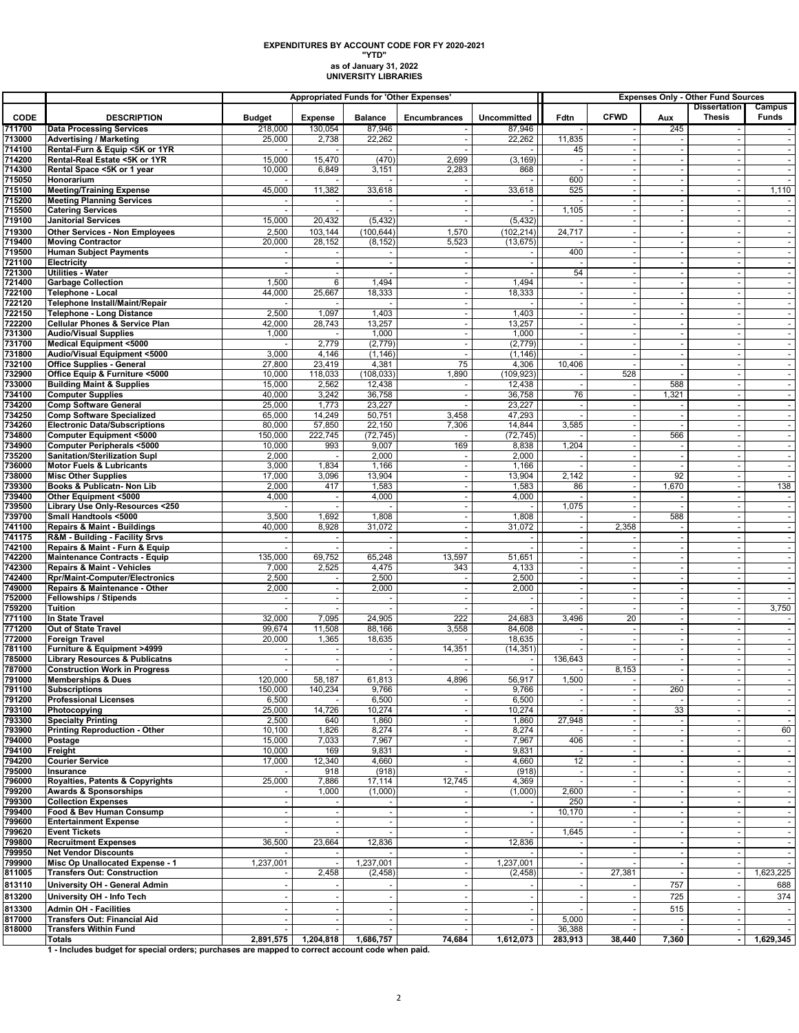## **as of January 31, 2022 UNIVERSITY LIBRARIES EXPENDITURES BY ACCOUNT CODE FOR FY 2020-2021 "YTD"**

|                  |                                                                               |                  |                          | Appropriated Funds for 'Other Expenses' |                                |                          | <b>Expenses Only - Other Fund Sources</b><br><b>Dissertation</b> |                          |                                   |                          |                          |
|------------------|-------------------------------------------------------------------------------|------------------|--------------------------|-----------------------------------------|--------------------------------|--------------------------|------------------------------------------------------------------|--------------------------|-----------------------------------|--------------------------|--------------------------|
| <b>CODE</b>      | <b>DESCRIPTION</b>                                                            | <b>Budget</b>    | <b>Expense</b>           | <b>Balance</b>                          | <b>Encumbrances</b>            | Uncommitted              | Fdtn                                                             | <b>CFWD</b>              | Aux                               | <b>Thesis</b>            | Campus<br><b>Funds</b>   |
| 711700           | <b>Data Processing Services</b>                                               | 218,000          | 130,054                  | 87,946                                  |                                | 87,946                   |                                                                  |                          | 245                               |                          |                          |
| 713000           | <b>Advertising / Marketing</b>                                                | 25,000           | 2,738                    | 22,262                                  |                                | 22,262                   | 11,835                                                           |                          |                                   |                          |                          |
| 714100           | Rental-Furn & Equip <5K or 1YR                                                |                  |                          |                                         |                                |                          | 45                                                               |                          | $\blacksquare$                    |                          |                          |
| 714200<br>714300 | Rental-Real Estate <5K or 1YR<br>Rental Space <5K or 1 year                   | 15,000<br>10,000 | 15,470<br>6,849          | (470)<br>3,151                          | 2,699<br>2,283                 | (3, 169)<br>868          | $\overline{\phantom{a}}$                                         | $\overline{\phantom{a}}$ | $\sim$<br>$\sim$                  | $\overline{\phantom{a}}$ | $\overline{\phantom{a}}$ |
| 715050           | Honorarium                                                                    |                  |                          |                                         |                                |                          | 600                                                              | $\sim$                   | $\blacksquare$                    |                          |                          |
| 715100           | <b>Meeting/Training Expense</b>                                               | 45,000           | 11,382                   | 33,618                                  |                                | 33,618                   | 525                                                              |                          | $\blacksquare$                    |                          | 1,110                    |
| 715200           | <b>Meeting Planning Services</b>                                              |                  |                          |                                         |                                |                          |                                                                  |                          | $\mathbf{r}$                      |                          |                          |
| 715500<br>719100 | <b>Catering Services</b><br><b>Janitorial Services</b>                        | 15,000           | 20,432                   | (5, 432)                                | $\overline{\phantom{a}}$<br>J. | $\sim$<br>(5, 432)       | 1,105                                                            | $\overline{\phantom{a}}$ | $\sim$<br>$\sim$                  | $\overline{\phantom{a}}$ |                          |
| 719300           | <b>Other Services - Non Employees</b>                                         | 2,500            | 103,144                  | (100, 644)                              | 1,570                          | (102, 214)               | 24,717                                                           |                          | $\blacksquare$                    |                          |                          |
| 719400           | <b>Moving Contractor</b>                                                      | 20,000           | 28,152                   | (8, 152)                                | 5,523                          | (13, 675)                |                                                                  |                          | $\blacksquare$                    | $\overline{\phantom{a}}$ |                          |
| 719500           | <b>Human Subject Payments</b>                                                 |                  |                          |                                         | $\overline{\phantom{a}}$       | $-1$                     | 400                                                              |                          | $\blacksquare$                    |                          |                          |
| 721100           | <b>Electricity</b>                                                            |                  |                          |                                         |                                |                          |                                                                  |                          | $\omega$                          |                          |                          |
| 721300<br>721400 | <b>Utilities - Water</b><br><b>Garbage Collection</b>                         | 1,500            | 6                        | 1,494                                   | ÷,                             | 1,494                    | 54                                                               |                          | $\blacksquare$<br>$\mathbf{r}$    |                          |                          |
| 722100           | Telephone - Local                                                             | 44,000           | 25,667                   | 18,333                                  | ÷.                             | 18,333                   | $\sim$                                                           | ÷.                       | $\sim$                            | $\overline{\phantom{a}}$ |                          |
| 722120           | Telephone Install/Maint/Repair                                                |                  |                          |                                         | $\overline{\phantom{a}}$       |                          |                                                                  |                          | $\overline{\phantom{a}}$          |                          |                          |
| 722150           | <b>Telephone - Long Distance</b>                                              | 2,500            | 1,097                    | 1,403                                   | ÷.                             | 1,403                    |                                                                  |                          | $\omega$                          |                          |                          |
| 722200           | <b>Cellular Phones &amp; Service Plan</b>                                     | 42,000           | 28,743                   | 13,257                                  | $\overline{\phantom{a}}$       | 13,257                   | $\sim$                                                           |                          | $\blacksquare$                    |                          |                          |
| 731300<br>731700 | <b>Audio/Visual Supplies</b><br><b>Medical Equipment &lt;5000</b>             | 1,000            | 2,779                    | 1,000<br>(2,779)                        | ÷,<br>÷,                       | 1,000<br>(2,779)         | $\sim$                                                           |                          | $\mathbf{r}$<br>$\sim$            |                          |                          |
| 731800           | Audio/Visual Equipment <5000                                                  | 3,000            | 4,146                    | (1, 146)                                | ÷.                             | (1, 146)                 |                                                                  |                          | $\blacksquare$                    | $\overline{\phantom{a}}$ | $\overline{\phantom{a}}$ |
| 732100           | <b>Office Supplies - General</b>                                              | 27,800           | 23,419                   | 4,381                                   | 75                             | 4,306                    | 10,406                                                           |                          | $\sim$                            |                          |                          |
| 732900           | Office Equip & Furniture <5000                                                | 10,000           | 118,033                  | (108, 033)                              | 1,890                          | (109, 923)               |                                                                  | 528                      | $\sim$                            |                          |                          |
| 733000           | <b>Building Maint &amp; Supplies</b>                                          | 15,000           | 2,562                    | 12,438                                  |                                | 12,438                   |                                                                  |                          | 588                               |                          |                          |
| 734100<br>734200 | <b>Computer Supplies</b><br><b>Comp Software General</b>                      | 40,000<br>25,000 | 3,242<br>1,773           | 36,758<br>23,227                        | $\overline{\phantom{a}}$       | 36,758<br>23,227         | 76                                                               | $\overline{\phantom{a}}$ | 1,321<br>$\overline{\phantom{a}}$ | $\overline{\phantom{a}}$ |                          |
| 734250           | <b>Comp Software Specialized</b>                                              | 65,000           | 14,249                   | 50,751                                  | 3,458                          | 47,293                   |                                                                  |                          | $\blacksquare$                    |                          |                          |
| 734260           | <b>Electronic Data/Subscriptions</b>                                          | 80,000           | 57,850                   | 22,150                                  | 7,306                          | 14,844                   | 3,585                                                            |                          | $\sim$                            |                          | $\blacksquare$           |
| 734800           | Computer Equipment <5000                                                      | 150,000          | 222,745                  | (72, 745)                               |                                | (72, 745)                |                                                                  |                          | 566                               |                          |                          |
| 734900<br>735200 | <b>Computer Peripherals &lt;5000</b><br>Sanitation/Sterilization Supl         | 10,000<br>2,000  | 993                      | 9,007<br>2,000                          | 169                            | 8,838<br>2,000           | 1,204                                                            |                          | $\sim$<br>$\blacksquare$          | $\overline{\phantom{a}}$ |                          |
| 736000           | <b>Motor Fuels &amp; Lubricants</b>                                           | 3,000            | 1,834                    | 1,166                                   |                                | 1,166                    |                                                                  |                          | $\overline{\phantom{a}}$          |                          | $\overline{\phantom{a}}$ |
| 738000           | <b>Misc Other Supplies</b>                                                    | 17,000           | 3,096                    | 13,904                                  | $\overline{\phantom{a}}$       | 13,904                   | 2,142                                                            |                          | 92                                |                          |                          |
| 739300           | Books & Publicatn- Non Lib                                                    | 2,000            | 417                      | 1,583                                   | J.                             | 1,583                    | 86                                                               |                          | 1,670                             |                          | 138                      |
| 739400           | Other Equipment <5000                                                         | 4,000            | $\overline{\phantom{a}}$ | 4,000                                   | ÷.                             | 4,000                    |                                                                  | $\overline{\phantom{a}}$ | $\sim$                            | $\overline{\phantom{a}}$ |                          |
| 739500<br>739700 | Library Use Only-Resources <250<br>Small Handtools <5000                      | 3,500            | 1,692                    | 1,808                                   | $\overline{\phantom{a}}$<br>÷, | 1,808                    | 1,075                                                            |                          | ÷,<br>588                         |                          |                          |
| 741100           | <b>Repairs &amp; Maint - Buildings</b>                                        | 40,000           | 8,928                    | 31,072                                  | $\overline{\phantom{a}}$       | 31,072                   | $\blacksquare$                                                   | 2,358                    | $\overline{\phantom{a}}$          | $\overline{\phantom{a}}$ | $\blacksquare$           |
| 741175           | R&M - Building - Facility Srvs                                                |                  |                          |                                         | ÷,                             |                          |                                                                  |                          | $\blacksquare$                    |                          |                          |
| 742100           | Repairs & Maint - Furn & Equip                                                |                  |                          |                                         |                                |                          |                                                                  |                          | $\omega$                          |                          |                          |
| 742200<br>742300 | <b>Maintenance Contracts - Equip</b><br><b>Repairs &amp; Maint - Vehicles</b> | 135,000<br>7,000 | 69,752<br>2,525          | 65,248<br>4,475                         | 13,597<br>343                  | 51,651<br>4,133          |                                                                  |                          | $\blacksquare$<br>$\omega$        |                          | $\overline{\phantom{a}}$ |
| 742400           | <b>Rpr/Maint-Computer/Electronics</b>                                         | 2,500            |                          | 2,500                                   |                                | 2,500                    |                                                                  |                          | $\blacksquare$                    |                          |                          |
| 749000           | Repairs & Maintenance - Other                                                 | 2,000            |                          | 2,000                                   | $\overline{\phantom{a}}$       | 2,000                    |                                                                  |                          | $\blacksquare$                    |                          |                          |
| 752000           | <b>Fellowships / Stipends</b>                                                 |                  | $\sim$                   |                                         | ÷.                             | $\sim$                   | $\sim$                                                           | ÷.                       | $\sim$                            | $\overline{\phantom{a}}$ | $\sim$                   |
| 759200<br>771100 | <b>Tuition</b><br>In State Travel                                             | 32,000           | 7,095                    | 24,905                                  | 222                            | 24,683                   | 3,496                                                            | 20                       | $\sim$<br>$\blacksquare$          |                          | 3,750                    |
| 771200           | Out of State Travel                                                           | 99,674           | 11,508                   | 88,166                                  | 3,558                          | 84,608                   |                                                                  | ÷.                       | $\blacksquare$                    | $\overline{\phantom{a}}$ | $\blacksquare$           |
| 772000           | <b>Foreign Travel</b>                                                         | 20,000           | 1,365                    | 18,635                                  |                                | 18,635                   |                                                                  |                          | $\sim$                            |                          |                          |
| 781100           | Furniture & Equipment >4999                                                   |                  |                          |                                         | 14,351                         | (14, 351)                |                                                                  |                          | $\sim$                            | $\overline{\phantom{a}}$ |                          |
| 785000           | <b>Library Resources &amp; Publicatns</b>                                     |                  | $\overline{\phantom{a}}$ |                                         |                                | $-1$                     | 136,643                                                          |                          | $\blacksquare$                    |                          | $\overline{\phantom{a}}$ |
| 787000<br>791000 | <b>Construction Work in Progress</b><br><b>Memberships &amp; Dues</b>         | 120,000          | 58,187                   | 61,813                                  | 4,896                          | 56,917                   | 1,500                                                            | 8,153                    | $\blacksquare$                    |                          |                          |
| 791100           | <b>Subscriptions</b>                                                          | 150,000          | 140,234                  | 9,766                                   |                                | 9,766                    |                                                                  |                          | 260                               |                          |                          |
| 791200           | <b>Professional Licenses</b>                                                  | 6,500            |                          | 6,500                                   |                                | 6,500                    | $\sim$                                                           |                          |                                   | ÷.                       |                          |
| 793100           | Photocopying                                                                  | 25,000           | 14,726                   | 10,274                                  |                                | 10,274                   |                                                                  |                          | 33                                |                          |                          |
| 793300<br>793900 | <b>Specialty Printing</b><br><b>Printing Reproduction - Other</b>             | 2,500<br>10,100  | 640<br>1,826             | 1,860<br>8,274                          | $\overline{a}$                 | 1,860<br>8,274           | 27,948                                                           |                          | $\omega$<br>$\sim$                |                          | 60                       |
| 794000           | Postage                                                                       | 15,000           | 7,033                    | 7,967                                   |                                | 7,967                    | 406                                                              |                          | $\sim$                            |                          |                          |
| 794100           | Freight                                                                       | 10,000           | 169                      | 9,831                                   | $\overline{\phantom{a}}$       | 9,831                    |                                                                  |                          | $\sim$                            |                          |                          |
| 794200           | <b>Courier Service</b>                                                        | 17,000           | 12,340                   | 4,660                                   |                                | 4,660                    | 12                                                               |                          | $\sim$                            |                          | $\overline{\phantom{a}}$ |
| 795000<br>796000 | Insurance<br>Royalties, Patents & Copyrights                                  | 25,000           | 918<br>7,886             | (918)<br>17,114                         | 12,745                         | (918)<br>4,369           |                                                                  |                          | $\sim$<br>$\blacksquare$          |                          |                          |
| 799200           | <b>Awards &amp; Sponsorships</b>                                              |                  | 1,000                    | (1,000)                                 |                                | (1,000)                  | 2,600                                                            |                          | $\blacksquare$                    |                          |                          |
| 799300           | <b>Collection Expenses</b>                                                    |                  |                          |                                         |                                | $\sim$                   | 250                                                              |                          | $\sim$                            |                          |                          |
| 799400           | Food & Bev Human Consump                                                      |                  |                          |                                         |                                | $-1$                     | 10,170                                                           |                          | $\sim$                            |                          |                          |
| 799600           | <b>Entertainment Expense</b>                                                  |                  |                          |                                         |                                | $-1$                     |                                                                  |                          | $\blacksquare$                    |                          |                          |
| 799620<br>799800 | <b>Event Tickets</b><br><b>Recruitment Expenses</b>                           | 36,500           | 23,664                   | 12,836                                  | $\overline{\phantom{a}}$       | 12,836                   | 1,645                                                            |                          | $\sim$<br>$\blacksquare$          |                          |                          |
| 799950           | <b>Net Vendor Discounts</b>                                                   |                  |                          |                                         | $\sim$                         |                          |                                                                  |                          | $\sim$                            |                          |                          |
| 799900           | Misc Op Unallocated Expense - 1                                               | 1,237,001        |                          | 1,237,001                               | ÷.                             | 1,237,001                |                                                                  |                          | $\sim$                            |                          | $\overline{\phantom{a}}$ |
| 811005           | <b>Transfers Out: Construction</b>                                            |                  | 2,458                    | (2, 458)                                |                                | (2, 458)                 |                                                                  | 27,381                   | $\sim$                            |                          | 1,623,225                |
| 813110           | University OH - General Admin                                                 |                  |                          |                                         |                                |                          |                                                                  |                          | 757                               |                          | 688                      |
| 813200           | University OH - Info Tech                                                     |                  |                          |                                         |                                | $\overline{\phantom{a}}$ |                                                                  |                          | 725                               |                          | 374                      |
| 813300           | <b>Admin OH - Facilities</b>                                                  |                  |                          |                                         | $\overline{\phantom{a}}$       | $\sim$                   |                                                                  |                          | 515                               |                          |                          |
| 817000<br>818000 | <b>Transfers Out: Financial Aid</b><br><b>Transfers Within Fund</b>           |                  | $\sim$                   | $\sim$                                  | $\sim$                         | $-1$<br>$-1$             | 5,000<br>36,388                                                  |                          | $\overline{\phantom{a}}$          |                          | $\overline{\phantom{a}}$ |
|                  | <b>Totals</b>                                                                 | 2,891,575        | 1,204,818                | 1,686,757                               | 74,684                         | 1,612,073                | 283,913                                                          | 38,440                   | 7,360                             |                          | 1,629,345                |
|                  |                                                                               |                  |                          |                                         |                                |                          |                                                                  |                          |                                   |                          |                          |

**1 - Includes budget for special orders; purchases are mapped to correct account code when paid.**